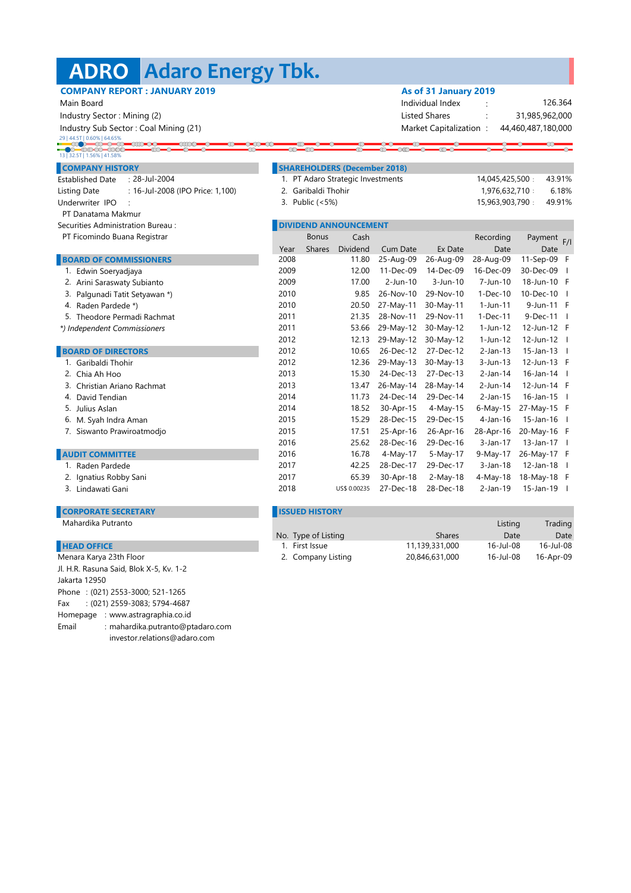# **Adaro Energy Tbk. ADRO**

| <b>COMPANY REPORT: JANUARY 2019</b><br>Main Board       |                     |                       |                                     | As of 31 January 2019<br>126.364         |                         |                 |                    |     |
|---------------------------------------------------------|---------------------|-----------------------|-------------------------------------|------------------------------------------|-------------------------|-----------------|--------------------|-----|
|                                                         |                     |                       |                                     | Individual Index<br><b>Listed Shares</b> |                         |                 |                    |     |
| Industry Sector: Mining (2)                             |                     |                       |                                     |                                          |                         |                 | 31,985,962,000     |     |
| Industry Sub Sector: Coal Mining (21)                   |                     |                       |                                     |                                          | Market Capitalization:  |                 | 44,460,487,180,000 |     |
| $\longrightarrow$<br>▬◠▬◠▬◠                             |                     |                       |                                     |                                          |                         |                 |                    |     |
|                                                         |                     |                       |                                     |                                          |                         |                 |                    |     |
| <b>COMPANY HISTORY</b>                                  |                     |                       | <b>SHAREHOLDERS (December 2018)</b> |                                          |                         |                 |                    |     |
| : 28-Jul-2004<br><b>Established Date</b>                |                     |                       | 1. PT Adaro Strategic Investments   |                                          |                         | 14,045,425,500: | 43.91%             |     |
| : 16-Jul-2008 (IPO Price: 1,100)<br><b>Listing Date</b> | 2. Garibaldi Thohir |                       |                                     |                                          | 1,976,632,710:<br>6.18% |                 |                    |     |
| Underwriter IPO                                         |                     | 3. Public (<5%)       |                                     |                                          |                         | 15,963,903,790: | 49.91%             |     |
| PT Danatama Makmur                                      |                     |                       |                                     |                                          |                         |                 |                    |     |
| Securities Administration Bureau:                       |                     |                       | <b>DIVIDEND ANNOUNCEMENT</b>        |                                          |                         |                 |                    |     |
| PT Ficomindo Buana Registrar                            |                     | <b>Bonus</b>          | Cash                                |                                          |                         | Recording       | Payment            | F/I |
|                                                         | Year                | <b>Shares</b>         | Dividend                            | Cum Date                                 | Ex Date                 | Date            | Date               |     |
| <b>BOARD OF COMMISSIONERS</b>                           | 2008                |                       | 11.80                               | 25-Aug-09                                | 26-Aug-09               | 28-Aug-09       | 11-Sep-09 F        |     |
| 1. Edwin Soeryadjaya                                    | 2009                |                       | 12.00                               | 11-Dec-09                                | 14-Dec-09               | 16-Dec-09       | 30-Dec-09          |     |
| 2. Arini Saraswaty Subianto                             | 2009                |                       | 17.00                               | $2$ -Jun-10                              | $3$ -Jun-10             | 7-Jun-10        | 18-Jun-10 F        |     |
| 3. Palgunadi Tatit Setyawan *)                          | 2010                |                       | 9.85                                | 26-Nov-10                                | 29-Nov-10               | 1-Dec-10        | 10-Dec-10          |     |
| 4. Raden Pardede *)                                     | 2010                |                       | 20.50                               | 27-May-11                                | 30-May-11               | $1-Jun-11$      | 9-Jun-11 F         |     |
| 5. Theodore Permadi Rachmat                             | 2011                |                       | 21.35                               | 28-Nov-11                                | 29-Nov-11               | $1-Dec-11$      | $9-Dec-11$         |     |
| *) Independent Commissioners                            | 2011                |                       | 53.66                               | 29-May-12                                | 30-May-12               | 1-Jun-12        | 12-Jun-12 F        |     |
|                                                         | 2012                |                       | 12.13                               | 29-May-12                                | 30-May-12               | $1-Jun-12$      | 12-Jun-12          |     |
| <b>BOARD OF DIRECTORS</b>                               | 2012                |                       | 10.65                               | 26-Dec-12                                | 27-Dec-12               | $2-Jan-13$      | $15$ -Jan-13       |     |
| 1. Garibaldi Thohir                                     | 2012                |                       | 12.36                               | 29-May-13                                | 30-May-13               | $3-Jun-13$      | 12-Jun-13 F        |     |
| 2. Chia Ah Hoo                                          | 2013                |                       | 15.30                               | 24-Dec-13                                | 27-Dec-13               | $2-Jan-14$      | 16-Jan-14          |     |
| Christian Ariano Rachmat                                | 2013                |                       | 13.47                               | 26-May-14                                | 28-May-14               | 2-Jun-14        | 12-Jun-14 F        |     |
| 4. David Tendian                                        | 2014                |                       | 11.73                               | 24-Dec-14                                | 29-Dec-14               | $2-Jan-15$      | 16-Jan-15          |     |
| 5. Julius Aslan                                         | 2014                |                       | 18.52                               | 30-Apr-15                                | $4-May-15$              | $6-May-15$      | 27-May-15 F        |     |
| 6. M. Syah Indra Aman                                   | 2015                |                       | 15.29                               | 28-Dec-15                                | 29-Dec-15               | $4$ -Jan-16     | 15-Jan-16          |     |
| 7. Siswanto Prawiroatmodjo                              | 2015                |                       | 17.51                               | 25-Apr-16                                | 26-Apr-16               | 28-Apr-16       | 20-May-16 F        |     |
|                                                         | 2016                |                       | 25.62                               | 28-Dec-16                                | 29-Dec-16               | 3-Jan-17        | $13$ -Jan-17       |     |
| <b>AUDIT COMMITTEE</b>                                  | 2016                |                       | 16.78                               | 4-May-17                                 | 5-May-17                | 9-May-17        | 26-May-17 F        |     |
| Raden Pardede                                           | 2017                |                       | 42.25                               | 28-Dec-17                                | 29-Dec-17               | $3-Jan-18$      | $12$ -Jan-18       |     |
| Ignatius Robby Sani                                     | 2017                |                       | 65.39                               | 30-Apr-18                                | $2-May-18$              | 4-May-18        | 18-May-18 F        |     |
| 3. Lindawati Gani                                       | 2018                |                       | US\$ 0.00235                        | 27-Dec-18                                | 28-Dec-18               | $2-Jan-19$      | 15-Jan-19          |     |
| <b>CORPORATE SECRETARY</b>                              |                     | <b>ISSUED HISTORY</b> |                                     |                                          |                         |                 |                    |     |

#### **HEAD OFFICE**

Phone : (021) 2553-3000; 521-1265 Fax : (021) 2559-3083; 5794-4687 Homepage : www.astragraphia.co.id Email : mahardika.putranto@ptadaro.com investor.relations@adaro.com Menara Karya 23th Floor Jl. H.R. Rasuna Said, Blok X-5, Kv. 1-2 Jakarta 12950

#### Mahardika Putranto Listing Trading

| No. Type of Listing | <b>Shares</b>  | Date      | Date      |
|---------------------|----------------|-----------|-----------|
| 1. First Issue      | 11.139.331.000 | 16-Jul-08 | 16-Jul-08 |
| 2. Company Listing  | 20,846,631,000 | 16-Jul-08 | 16-Apr-09 |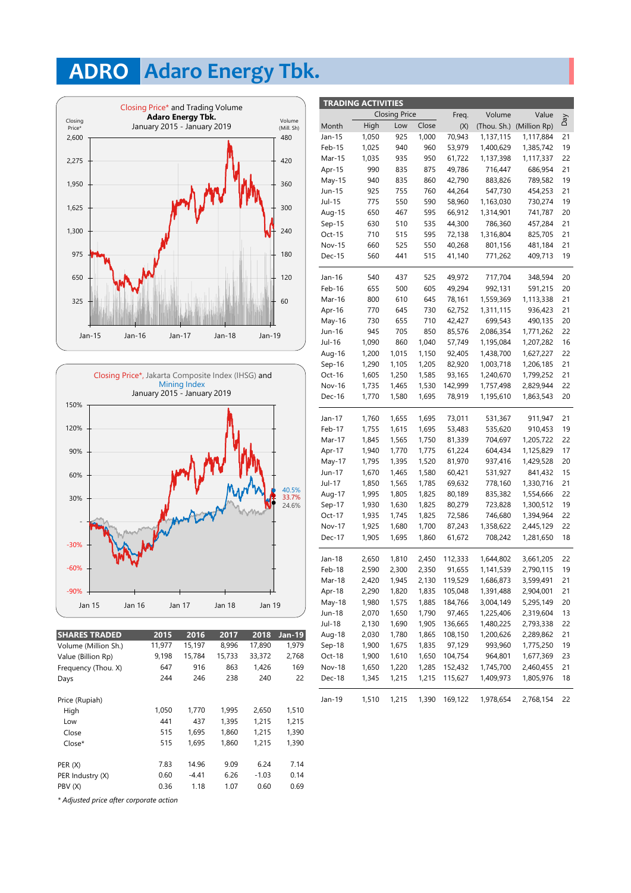## **Adaro Energy Tbk. ADRO**





| <b>SHARES TRADED</b> | 2015   | 2016    | 2017   | 2018    | Jan-19 |
|----------------------|--------|---------|--------|---------|--------|
| Volume (Million Sh.) | 11,977 | 15,197  | 8,996  | 17,890  | 1,979  |
| Value (Billion Rp)   | 9,198  | 15,784  | 15,733 | 33,372  | 2,768  |
| Frequency (Thou. X)  | 647    | 916     | 863    | 1.426   | 169    |
| Days                 | 244    | 246     | 238    | 240     | 22     |
| Price (Rupiah)       |        |         |        |         |        |
| High                 | 1,050  | 1.770   | 1,995  | 2,650   | 1,510  |
| Low                  | 441    | 437     | 1,395  | 1,215   | 1,215  |
| Close                | 515    | 1.695   | 1.860  | 1.215   | 1,390  |
| $Close*$             | 515    | 1.695   | 1.860  | 1.215   | 1,390  |
| PER(X)               | 7.83   | 14.96   | 9.09   | 6.24    | 7.14   |
| PER Industry (X)     | 0.60   | $-4.41$ | 6.26   | $-1.03$ | 0.14   |
| PBV (X)              | 0.36   | 1.18    | 1.07   | 0.60    | 0.69   |
|                      |        |         |        |         |        |

 **TRADING ACTIVITIES** High Low Close Day 1,035 935 950 Month 19 20 20 22 16 21  $22$ 22 19 Dec-18 1,900 1,610 2,460,455 21 21 Mar-15 Feb-15 Aug-18 1,510 23 Jul-15 Aug-15 18 22 21 2,420 19 1,215 Sep-18 1,650 1,900 May-18 1,980 1,575 1,885 184,766 3,004,149 5,295,149 20 21 1,480,225 2,793,338 2,030 1,780 1,865 108,150 1,200,626 2,289,862 1,980 1,690 1,905 136,665 13 Jul-18 1,650 Dec-17 1,905 1,695 1,860 61,672 708,242 1,281,650 18 Nov-17 1,925 1,680 1,700 87,243 1,930 1,630 1,825 80,279 723,828 1,300,512 19 1,358,622 2,445,129 1,935 1,745 1,825 72,586 Jun-17 1,670 1,465 1,580 60,421 531,927 841,432 15 May-17 1,795 1,395 21 Feb-18 Jan-18 2,650 1,810 2,450 112,333 1,644,802 3,661,205 22 2,590 2,300 2,350 91,655 1,141,539 2,790,115 1,945 2,130 119,529 1,686,873 3,599,491 22 Sep-17 1,930 1,630 1,825 Mar-17 21 Feb-17 1,755 1,615 1,695 53,483 535,620 910,453 19 Jan-17 535,620 1,845 1,565 1,750 81,339 704,697 1,205,722 1,760 1,655 1,695 73,011 531,367 911,947 Dec-15 940 1,559,369 936,423 409,713 510 789,582 1,330,716 937,416 1,429,528 547,730 560 441 515 437 1,195,084 535 660 525 550 730,274 1,137,115 1,117,884 61,722 1,137,398 1,117,337 May-16 22 655 650 467 595 66,912 22  $21$ 20 19 Nov-16 1,735 1,465 1,530 142,999 1,757,498 2,829,944 22 Oct-16 1,605 1,250 1,585 1,735 1,465 1,530 93,165 142,999 1,770 1,580 1,695 78,919 825,705 1,206,185 1,105 1,205 82,920 1,003,718 705 1,090 860 1,040 57,749 Sep-16 Aug-16 1,200 1,015 1,150 1,240,670 1,799,252 1,863,543 2,829,944 775 800 610 645 78,161 1,000 Apr-15 860 42,790 590 1,385,742 1,314,901 741,787 49,786 490,135 717,704 716,447 686,954 1,400,629 786,360 457,284 72,138 58,960 Nov-15 Oct-15 Sep-15 630 1,770 1,775 61,224 604,434 Dec-16 Mar-16 Feb-16 Jan-16 Jul-17 883,826 1,850 1,565 1,785 69,632 778,160 1,050 925 70,943 990 925 755 760 1,025 940 960 875 Jan-15 Jun-15 835 May-15 53,979 44,264 1,520 1,835 2,290 1,820 1,835 19 44,300 710 515 595 Mar-18 Oct-17 Jun-18 2,130 1,790 40,268 Apr-18 1,207,282 2,086,354 1,195,610 Apr-16 Jun-16 730 1,771,262 730 1,940 82,920 62,752 1,311,115 42,427 525 49,972 770 645 945 Jul-16 655 710 850 540 500 605 1,290 85,576 21 801,156 481,184 591,215 348,594 1,316,804 21 20 21 20 19 1,438,700 1,627,227 21 21 21 1,163,030 21 22 17 771,262 699,543 49,294 992,131 92,405 80,189 81,970 993,960 1,775,250 105,048 22 97,129 41,140 21 835,382 1,554,666 1,125,829  $20$ 80,279 746,680 1,394,964 1,390 169,122 1,978,654 2,768,154 1,650 104,754 964,801 1,677,369 115,627 1,409,973 1,805,976 Oct-18 Nov-18 1,650 1,220 1,285 152,432 1,745,700 1,345 1,215 1,215 Jan-19 1,391,488 2,904,001 152,432 1,113,338 5,295,149 2,070 3,004,149 97,465 1,225,406 2,319,604 1,995 1,805 1,825 1,675 Aug-17  $Arr-17$ (Thou. Sh.) (Million Rp) Volume Value  $(X)$ Closing Price Freq. 454,253 550 835

*\* Adjusted price after corporate action*